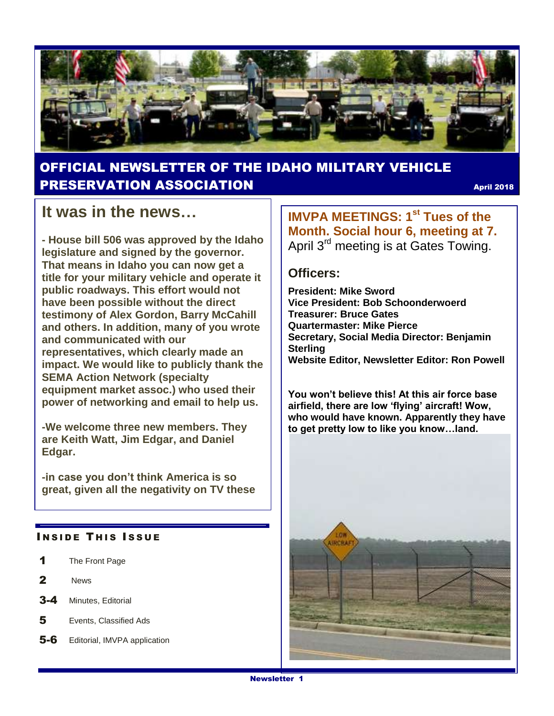

#### OFFICIAL NEWSLETTER OF THE IDAHO MILITARY VEHICLE PRESERVATION ASSOCIATION April 2018

#### **It was in the news…**

**- House bill 506 was approved by the Idaho legislature and signed by the governor. That means in Idaho you can now get a title for your military vehicle and operate it public roadways. This effort would not have been possible without the direct testimony of Alex Gordon, Barry McCahill and others. In addition, many of you wrote and communicated with our representatives, which clearly made an impact. We would like to publicly thank the SEMA Action Network (specialty equipment market assoc.) who used their power of networking and email to help us.**

**-We welcome three new members. They are Keith Watt, Jim Edgar, and Daniel Edgar.**

**-in case you don't think America is so great, given all the negativity on TV these** 

#### **INSIDE THIS ISSUE**

- 1 The Front Page
- 2 News
- 3-4 Minutes, Editorial
- 5 Events, Classified Ads
- 5-6 Editorial, IMVPA application

**IMVPA MEETINGS: 1st Tues of the Month. Social hour 6, meeting at 7.**  April 3<sup>rd</sup> meeting is at Gates Towing.

#### **Officers:**

**President: Mike Sword Vice President: Bob Schoonderwoerd Treasurer: Bruce Gates Quartermaster: Mike Pierce Secretary, Social Media Director: Benjamin Sterling Website Editor, Newsletter Editor: Ron Powell**

**You won't believe this! At this air force base airfield, there are low 'flying' aircraft! Wow, who would have known. Apparently they have to get pretty low to like you know…land.**

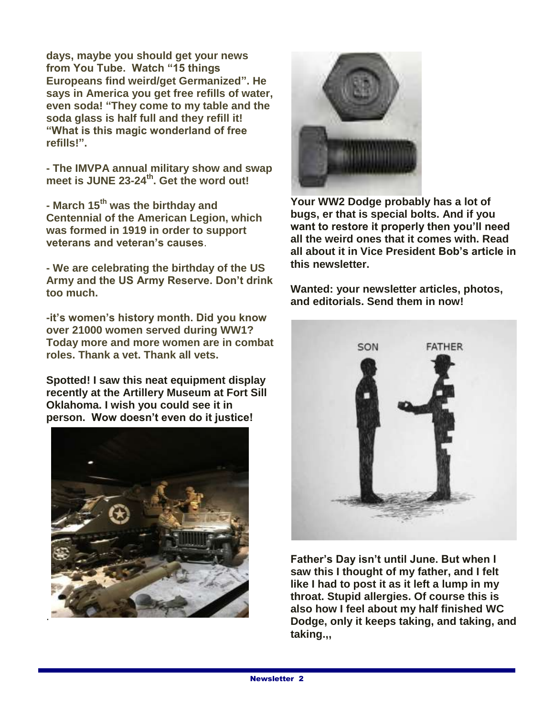**days, maybe you should get your news from You Tube. Watch "15 things Europeans find weird/get Germanized". He says in America you get free refills of water, even soda! "They come to my table and the soda glass is half full and they refill it! "What is this magic wonderland of free refills!".**

**- The IMVPA annual military show and swap meet is JUNE 23-24th . Get the word out!**

**- March 15th was the birthday and Centennial of the American Legion, which was formed in 1919 in order to support veterans and veteran's causes**.

**- We are celebrating the birthday of the US Army and the US Army Reserve. Don't drink too much.**

**-it's women's history month. Did you know over 21000 women served during WW1? Today more and more women are in combat roles. Thank a vet. Thank all vets.**

**Spotted! I saw this neat equipment display recently at the Artillery Museum at Fort Sill Oklahoma. I wish you could see it in person. Wow doesn't even do it justice!**





**Your WW2 Dodge probably has a lot of bugs, er that is special bolts. And if you want to restore it properly then you'll need all the weird ones that it comes with. Read all about it in Vice President Bob's article in this newsletter.**

**Wanted: your newsletter articles, photos, and editorials. Send them in now!**



**Father's Day isn't until June. But when I saw this I thought of my father, and I felt like I had to post it as it left a lump in my throat. Stupid allergies. Of course this is also how I feel about my half finished WC Dodge, only it keeps taking, and taking, and taking.,,**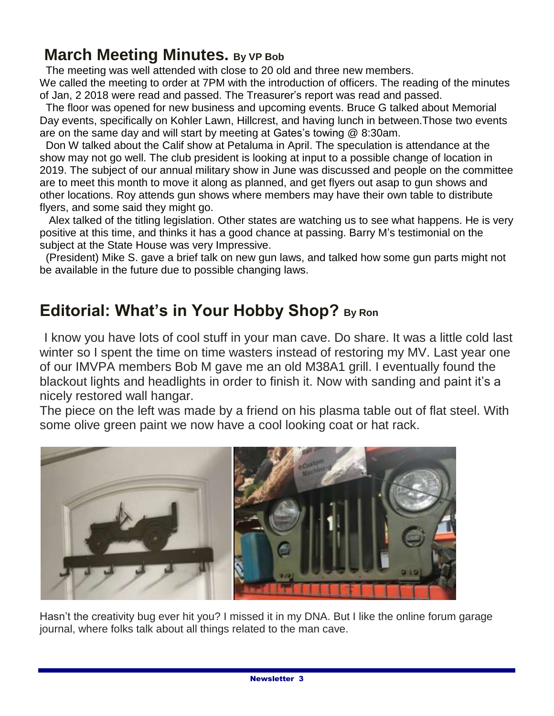#### **March Meeting Minutes. By VP Bob**

The meeting was well attended with close to 20 old and three new members.

We called the meeting to order at 7PM with the introduction of officers. The reading of the minutes of Jan, 2 2018 were read and passed. The Treasurer's report was read and passed.

The floor was opened for new business and upcoming events. Bruce G talked about Memorial Day events, specifically on Kohler Lawn, Hillcrest, and having lunch in between.Those two events are on the same day and will start by meeting at Gates's towing @ 8:30am.

 Don W talked about the Calif show at Petaluma in April. The speculation is attendance at the show may not go well. The club president is looking at input to a possible change of location in 2019. The subject of our annual military show in June was discussed and people on the committee are to meet this month to move it along as planned, and get flyers out asap to gun shows and other locations. Roy attends gun shows where members may have their own table to distribute flyers, and some said they might go.

 Alex talked of the titling legislation. Other states are watching us to see what happens. He is very positive at this time, and thinks it has a good chance at passing. Barry M's testimonial on the subject at the State House was very Impressive.

(President) Mike S. gave a brief talk on new gun laws, and talked how some gun parts might not be available in the future due to possible changing laws.

# **Editorial: What's in Your Hobby Shop? By Ron**

I know you have lots of cool stuff in your man cave. Do share. It was a little cold last winter so I spent the time on time wasters instead of restoring my MV. Last year one of our IMVPA members Bob M gave me an old M38A1 grill. I eventually found the blackout lights and headlights in order to finish it. Now with sanding and paint it's a nicely restored wall hangar.

The piece on the left was made by a friend on his plasma table out of flat steel. With some olive green paint we now have a cool looking coat or hat rack.



Hasn't the creativity bug ever hit you? I missed it in my DNA. But I like the online forum garage journal, where folks talk about all things related to the man cave.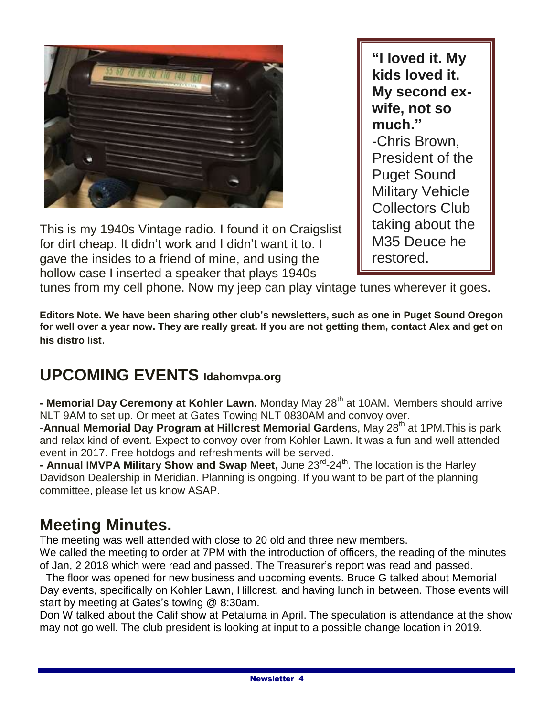

This is my 1940s Vintage radio. I found it on Craigslist for dirt cheap. It didn't work and I didn't want it to. I gave the insides to a friend of mine, and using the hollow case I inserted a speaker that plays 1940s

**"I loved it. My kids loved it. My second exwife, not so much."** -Chris Brown, President of the Puget Sound Military Vehicle Collectors Club taking about the M35 Deuce he restored.

tunes from my cell phone. Now my jeep can play vintage tunes wherever it goes.

**Editors Note. We have been sharing other club's newsletters, such as one in Puget Sound Oregon for well over a year now. They are really great. If you are not getting them, contact Alex and get on his distro list**.

## **UPCOMING EVENTS Idahomvpa.org**

**- Memorial Day Ceremony at Kohler Lawn.** Monday May 28<sup>th</sup> at 10AM. Members should arrive NLT 9AM to set up. Or meet at Gates Towing NLT 0830AM and convoy over.

-**Annual Memorial Day Program at Hillcrest Memorial Gardens**, May 28<sup>th</sup> at 1PM. This is park and relax kind of event. Expect to convoy over from Kohler Lawn. It was a fun and well attended event in 2017. Free hotdogs and refreshments will be served.

**- Annual IMVPA Military Show and Swap Meet,** June 23<sup>rd</sup>-24<sup>th</sup>. The location is the Harley Davidson Dealership in Meridian. Planning is ongoing. If you want to be part of the planning committee, please let us know ASAP.

## **Meeting Minutes.**

The meeting was well attended with close to 20 old and three new members.

We called the meeting to order at 7PM with the introduction of officers, the reading of the minutes of Jan, 2 2018 which were read and passed. The Treasurer's report was read and passed.

The floor was opened for new business and upcoming events. Bruce G talked about Memorial Day events, specifically on Kohler Lawn, Hillcrest, and having lunch in between. Those events will start by meeting at Gates's towing @ 8:30am.

Don W talked about the Calif show at Petaluma in April. The speculation is attendance at the show may not go well. The club president is looking at input to a possible change location in 2019.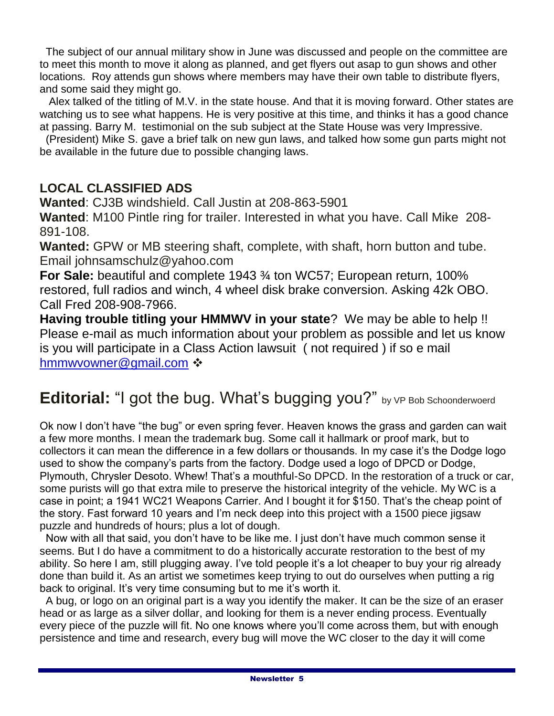The subject of our annual military show in June was discussed and people on the committee are to meet this month to move it along as planned, and get flyers out asap to gun shows and other locations. Roy attends gun shows where members may have their own table to distribute flyers, and some said they might go.

 Alex talked of the titling of M.V. in the state house. And that it is moving forward. Other states are watching us to see what happens. He is very positive at this time, and thinks it has a good chance at passing. Barry M. testimonial on the sub subject at the State House was very Impressive.

(President) Mike S. gave a brief talk on new gun laws, and talked how some gun parts might not be available in the future due to possible changing laws.

#### **LOCAL CLASSIFIED ADS**

**Wanted**: CJ3B windshield. Call Justin at 208-863-5901

**Wanted**: M100 Pintle ring for trailer. Interested in what you have. Call Mike 208- 891-108.

**Wanted:** GPW or MB steering shaft, complete, with shaft, horn button and tube. Email johnsamschulz@yahoo.com

**For Sale:** beautiful and complete 1943 ¾ ton WC57; European return, 100% restored, full radios and winch, 4 wheel disk brake conversion. Asking 42k OBO. Call Fred 208-908-7966.

**Having trouble titling your HMMWV in your state**? We may be able to help !! Please e-mail as much information about your problem as possible and let us know is you will participate in a Class Action lawsuit ( not required ) if so e mail [hmmwvowner@gmail.com](mailto:hmmwvowner@gmail.com)  $\cdot\cdot$ 

### **Editorial:** "I got the bug. What's bugging you?" by VP Bob Schoonderwoerd

Ok now I don't have "the bug" or even spring fever. Heaven knows the grass and garden can wait a few more months. I mean the trademark bug. Some call it hallmark or proof mark, but to collectors it can mean the difference in a few dollars or thousands. In my case it's the Dodge logo used to show the company's parts from the factory. Dodge used a logo of DPCD or Dodge, Plymouth, Chrysler Desoto. Whew! That's a mouthful-So DPCD. In the restoration of a truck or car, some purists will go that extra mile to preserve the historical integrity of the vehicle. My WC is a case in point; a 1941 WC21 Weapons Carrier. And I bought it for \$150. That's the cheap point of the story. Fast forward 10 years and I'm neck deep into this project with a 1500 piece jigsaw puzzle and hundreds of hours; plus a lot of dough.

 Now with all that said, you don't have to be like me. I just don't have much common sense it seems. But I do have a commitment to do a historically accurate restoration to the best of my ability. So here I am, still plugging away. I've told people it's a lot cheaper to buy your rig already done than build it. As an artist we sometimes keep trying to out do ourselves when putting a rig back to original. It's very time consuming but to me it's worth it.

 A bug, or logo on an original part is a way you identify the maker. It can be the size of an eraser head or as large as a silver dollar, and looking for them is a never ending process. Eventually every piece of the puzzle will fit. No one knows where you'll come across them, but with enough persistence and time and research, every bug will move the WC closer to the day it will come